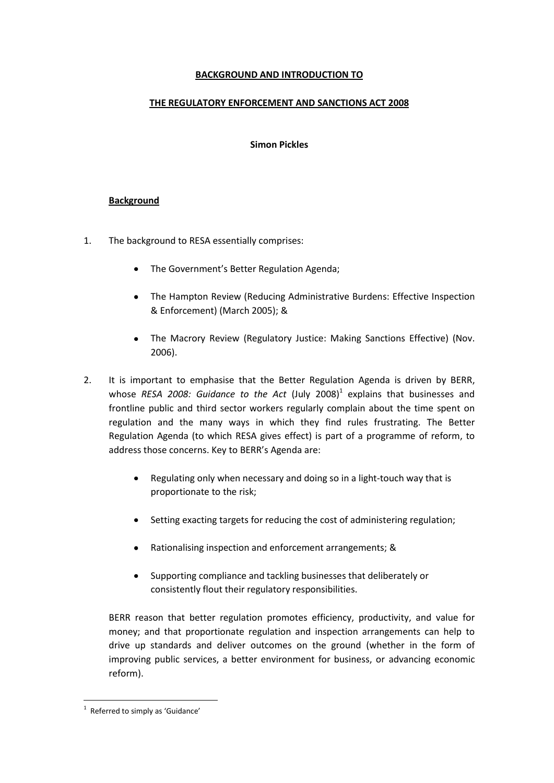# **BACKGROUND AND INTRODUCTION TO**

# **THE REGULATORY ENFORCEMENT AND SANCTIONS ACT 2008**

#### **Simon Pickles**

## **Background**

- 1. The background to RESA essentially comprises:
	- The Government's Better Regulation Agenda;
	- The Hampton Review (Reducing Administrative Burdens: Effective Inspection & Enforcement) (March 2005); &
	- The Macrory Review (Regulatory Justice: Making Sanctions Effective) (Nov. 2006).
- 2. It is important to emphasise that the Better Regulation Agenda is driven by BERR, whose RESA 2008: Guidance to the Act (July 2008)<sup>1</sup> explains that businesses and frontline public and third sector workers regularly complain about the time spent on regulation and the many ways in which they find rules frustrating. The Better Regulation Agenda (to which RESA gives effect) is part of a programme of reform, to address those concerns. Key to BERR's Agenda are:
	- Regulating only when necessary and doing so in a light-touch way that is  $\bullet$ proportionate to the risk;
	- Setting exacting targets for reducing the cost of administering regulation;
	- Rationalising inspection and enforcement arrangements; &
	- Supporting compliance and tackling businesses that deliberately or consistently flout their regulatory responsibilities.

BERR reason that better regulation promotes efficiency, productivity, and value for money; and that proportionate regulation and inspection arrangements can help to drive up standards and deliver outcomes on the ground (whether in the form of improving public services, a better environment for business, or advancing economic reform).

 $1$  Referred to simply as 'Guidance'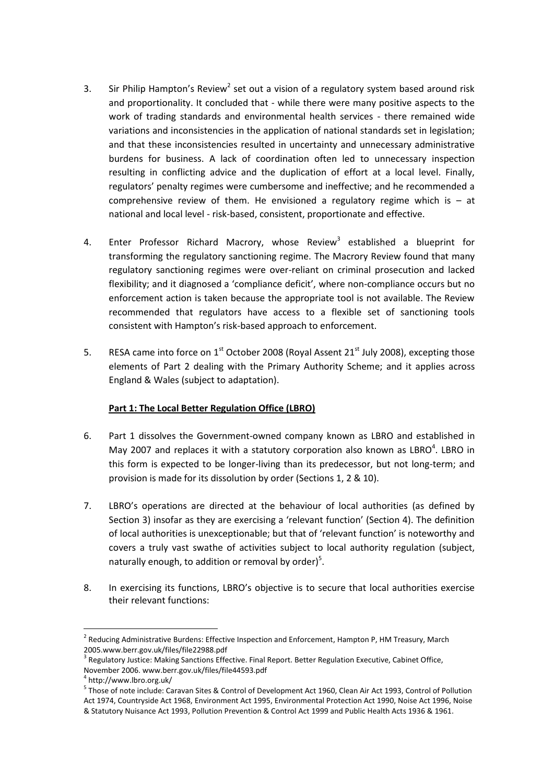- 3. Sir Philip Hampton's Review<sup>2</sup> set out a vision of a regulatory system based around risk and proportionality. It concluded that - while there were many positive aspects to the work of trading standards and environmental health services - there remained wide variations and inconsistencies in the application of national standards set in legislation; and that these inconsistencies resulted in uncertainty and unnecessary administrative burdens for business. A lack of coordination often led to unnecessary inspection resulting in conflicting advice and the duplication of effort at a local level. Finally, regulators' penalty regimes were cumbersome and ineffective; and he recommended a comprehensive review of them. He envisioned a regulatory regime which is  $-$  at national and local level - risk-based, consistent, proportionate and effective.
- 4. Enter Professor Richard Macrory, whose Review<sup>3</sup> established a blueprint for transforming the regulatory sanctioning regime. The Macrory Review found that many regulatory sanctioning regimes were over-reliant on criminal prosecution and lacked flexibility; and it diagnosed a 'compliance deficit', where non-compliance occurs but no enforcement action is taken because the appropriate tool is not available. The Review recommended that regulators have access to a flexible set of sanctioning tools consistent with Hampton's risk-based approach to enforcement.
- 5. RESA came into force on 1<sup>st</sup> October 2008 (Royal Assent 21<sup>st</sup> July 2008), excepting those elements of Part 2 dealing with the Primary Authority Scheme; and it applies across England & Wales (subject to adaptation).

# **Part 1: The Local Better Regulation Office (LBRO)**

- 6. Part 1 dissolves the Government-owned company known as LBRO and established in May 2007 and replaces it with a statutory corporation also known as  $LBRO<sup>4</sup>$ . LBRO in this form is expected to be longer-living than its predecessor, but not long-term; and provision is made for its dissolution by order (Sections 1, 2 & 10).
- 7. LBRO's operations are directed at the behaviour of local authorities (as defined by Section 3) insofar as they are exercising a 'relevant function' (Section 4). The definition of local authorities is unexceptionable; but that of 'relevant function' is noteworthy and covers a truly vast swathe of activities subject to local authority regulation (subject, naturally enough, to addition or removal by order)<sup>5</sup>.
- 8. In exercising its functions, LBRO's objective is to secure that local authorities exercise their relevant functions:

<sup>&</sup>lt;sup>2</sup> Reducing Administrative Burdens: Effective Inspection and Enforcement, Hampton P, HM Treasury, March 2005.www.berr.gov.uk/files/file22988.pdf

 $3$  Regulatory Justice: Making Sanctions Effective. Final Report. Better Regulation Executive, Cabinet Office,

November 2006. www.berr.gov.uk/files/file44593.pdf

<sup>4</sup> http://www.lbro.org.uk/

<sup>&</sup>lt;sup>5</sup> Those of note include: Caravan Sites & Control of Development Act 1960, Clean Air Act 1993, Control of Pollution Act 1974, Countryside Act 1968, Environment Act 1995, Environmental Protection Act 1990, Noise Act 1996, Noise & Statutory Nuisance Act 1993, Pollution Prevention & Control Act 1999 and Public Health Acts 1936 & 1961.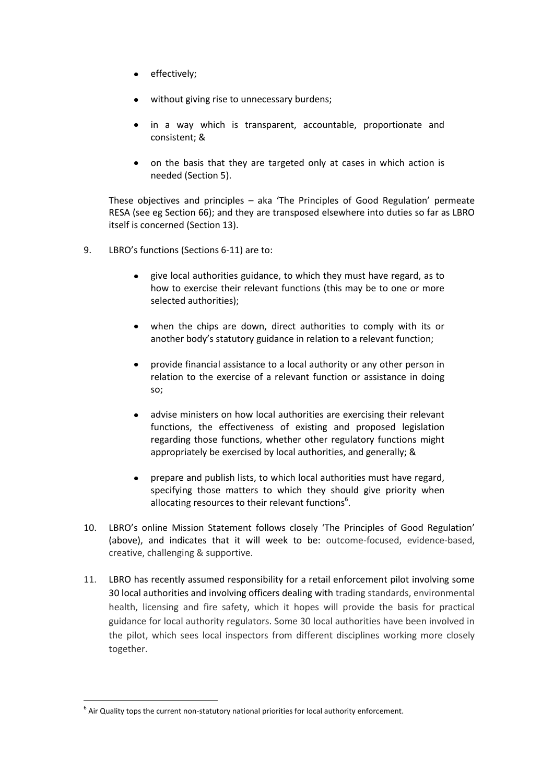- effectively;
- without giving rise to unnecessary burdens;
- in a way which is transparent, accountable, proportionate and consistent; &
- on the basis that they are targeted only at cases in which action is needed (Section 5).

These objectives and principles – aka 'The Principles of Good Regulation' permeate RESA (see eg Section 66); and they are transposed elsewhere into duties so far as LBRO itself is concerned (Section 13).

- 9. LBRO's functions (Sections 6-11) are to:
	- give local authorities guidance, to which they must have regard, as to how to exercise their relevant functions (this may be to one or more selected authorities);
	- when the chips are down, direct authorities to comply with its or another body's statutory guidance in relation to a relevant function;
	- provide financial assistance to a local authority or any other person in relation to the exercise of a relevant function or assistance in doing so;
	- advise ministers on how local authorities are exercising their relevant functions, the effectiveness of existing and proposed legislation regarding those functions, whether other regulatory functions might appropriately be exercised by local authorities, and generally; &
	- prepare and publish lists, to which local authorities must have regard,  $\bullet$ specifying those matters to which they should give priority when allocating resources to their relevant functions $<sup>6</sup>$ .</sup>
- 10. LBRO's online Mission Statement follows closely 'The Principles of Good Regulation' (above), and indicates that it will week to be: outcome-focused, evidence-based, creative, challenging & supportive.
- 11. LBRO has recently assumed responsibility for a retail enforcement pilot involving some 30 local authorities and involving officers dealing with trading standards, environmental health, licensing and fire safety, which it hopes will provide the basis for practical guidance for local authority regulators. Some 30 local authorities have been involved in the pilot, which sees local inspectors from different disciplines working more closely together.

 $<sup>6</sup>$  Air Quality tops the current non-statutory national priorities for local authority enforcement.</sup>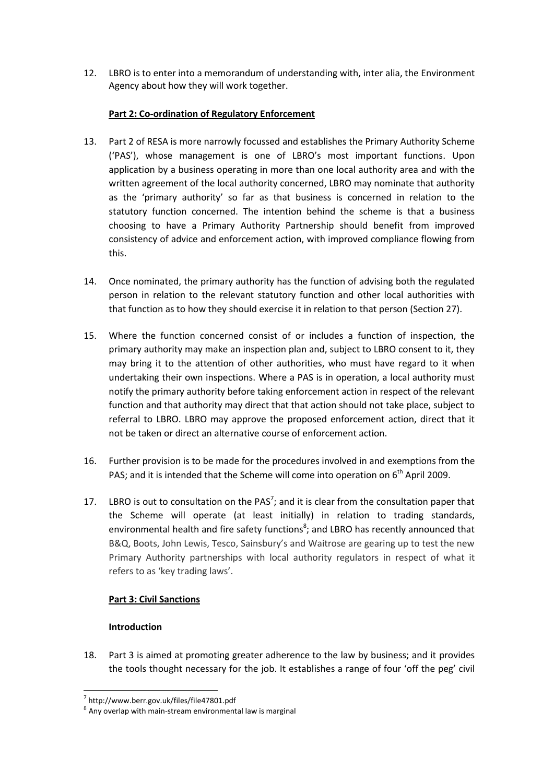12. LBRO is to enter into a memorandum of understanding with, inter alia, the Environment Agency about how they will work together.

# **Part 2: Co-ordination of Regulatory Enforcement**

- 13. Part 2 of RESA is more narrowly focussed and establishes the Primary Authority Scheme ('PAS'), whose management is one of LBRO's most important functions. Upon application by a business operating in more than one local authority area and with the written agreement of the local authority concerned, LBRO may nominate that authority as the 'primary authority' so far as that business is concerned in relation to the statutory function concerned. The intention behind the scheme is that a business choosing to have a Primary Authority Partnership should benefit from improved consistency of advice and enforcement action, with improved compliance flowing from this.
- 14. Once nominated, the primary authority has the function of advising both the regulated person in relation to the relevant statutory function and other local authorities with that function as to how they should exercise it in relation to that person (Section 27).
- 15. Where the function concerned consist of or includes a function of inspection, the primary authority may make an inspection plan and, subject to LBRO consent to it, they may bring it to the attention of other authorities, who must have regard to it when undertaking their own inspections. Where a PAS is in operation, a local authority must notify the primary authority before taking enforcement action in respect of the relevant function and that authority may direct that that action should not take place, subject to referral to LBRO. LBRO may approve the proposed enforcement action, direct that it not be taken or direct an alternative course of enforcement action.
- 16. Further provision is to be made for the procedures involved in and exemptions from the PAS; and it is intended that the Scheme will come into operation on 6<sup>th</sup> April 2009.
- 17. LBRO is out to consultation on the PAS<sup>7</sup>; and it is clear from the consultation paper that the Scheme will operate (at least initially) in relation to trading standards, environmental health and fire safety functions<sup>8</sup>; and LBRO has recently announced that B&Q, Boots, John Lewis, Tesco, Sainsbury's and Waitrose are gearing up to test the new Primary Authority partnerships with local authority regulators in respect of what it refers to as 'key trading laws'.

# **Part 3: Civil Sanctions**

# **Introduction**

1

18. Part 3 is aimed at promoting greater adherence to the law by business; and it provides the tools thought necessary for the job. It establishes a range of four 'off the peg' civil

<sup>7</sup> http://www.berr.gov.uk/files/file47801.pdf

 $8$  Any overlap with main-stream environmental law is marginal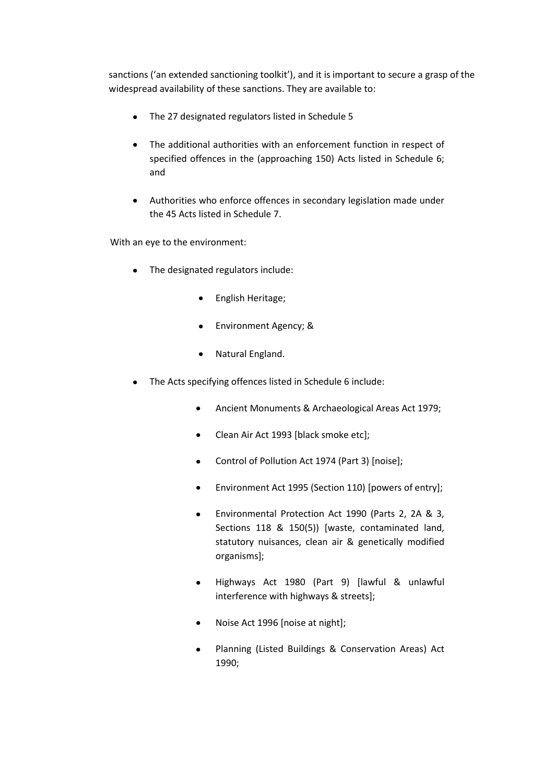sanctions ('an extended sanctioning toolkit'), and it is important to secure a grasp of the widespread availability of these sanctions. They are available to:

- The 27 designated regulators listed in Schedule 5  $\bullet$
- The additional authorities with an enforcement function in respect of specified offences in the (approaching 150) Acts listed in Schedule 6; and
- Authorities who enforce offences in secondary legislation made under  $\bullet$ the 45 Acts listed in Schedule 7.

With an eye to the environment:

- The designated regulators include:
	- English Heritage;  $\bullet$
	- Environment Agency; &
	- Natural England.  $\bullet$
- The Acts specifying offences listed in Schedule 6 include:
	- Ancient Monuments & Archaeological Areas Act 1979;  $\bullet$
	- Clean Air Act 1993 [black smoke etc];
	- Control of Pollution Act 1974 (Part 3) [noise];
	- Environment Act 1995 (Section 110) [powers of entry];
	- Environmental Protection Act 1990 (Parts 2, 2A & 3, Sections 118 & 150(5)) [waste, contaminated land, statutory nuisances, clean air & genetically modified organisms];
	- Highways Act 1980 (Part 9) [lawful & unlawful interference with highways & streets];
	- Noise Act 1996 [noise at night];
	- Planning (Listed Buildings & Conservation Areas) Act 1990;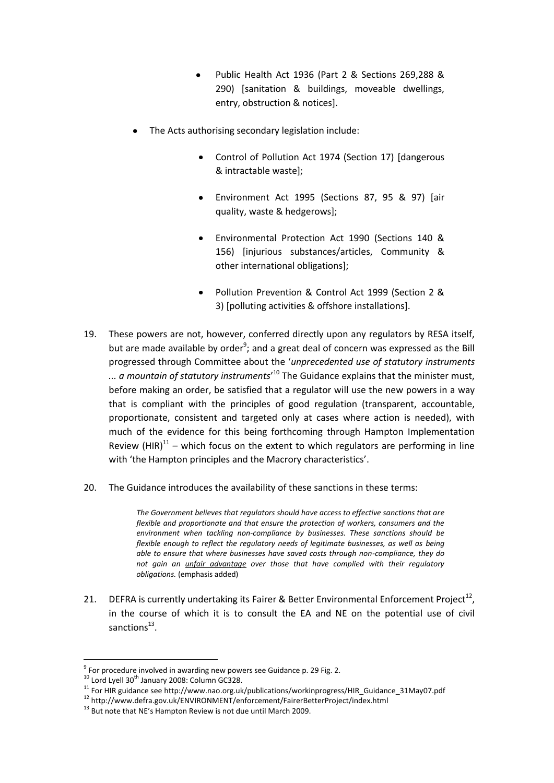- Public Health Act 1936 (Part 2 & Sections 269,288 & 290) [sanitation & buildings, moveable dwellings, entry, obstruction & notices].
- The Acts authorising secondary legislation include:
	- Control of Pollution Act 1974 (Section 17) [dangerous & intractable waste];
	- Environment Act 1995 (Sections 87, 95 & 97) [air quality, waste & hedgerows];
	- Environmental Protection Act 1990 (Sections 140 & 156) [injurious substances/articles, Community & other international obligations];
	- Pollution Prevention & Control Act 1999 (Section 2 & 3) [polluting activities & offshore installations].
- 19. These powers are not, however, conferred directly upon any regulators by RESA itself, but are made available by order<sup>9</sup>; and a great deal of concern was expressed as the Bill progressed through Committee about the '*unprecedented use of statutory instruments*  ... a mountain of statutory instruments'<sup>10</sup> The Guidance explains that the minister must, before making an order, be satisfied that a regulator will use the new powers in a way that is compliant with the principles of good regulation (transparent, accountable, proportionate, consistent and targeted only at cases where action is needed), with much of the evidence for this being forthcoming through Hampton Implementation Review  $(HIR)^{11}$  – which focus on the extent to which regulators are performing in line with 'the Hampton principles and the Macrory characteristics'.
- 20. The Guidance introduces the availability of these sanctions in these terms:

*The Government believes that regulators should have access to effective sanctions that are flexible and proportionate and that ensure the protection of workers, consumers and the environment when tackling non-compliance by businesses. These sanctions should be flexible enough to reflect the regulatory needs of legitimate businesses, as well as being able to ensure that where businesses have saved costs through non-compliance, they do not gain an unfair advantage over those that have complied with their regulatory obligations.* (emphasis added)

21. DEFRA is currently undertaking its Fairer & Better Environmental Enforcement Project<sup>12</sup>, in the course of which it is to consult the EA and NE on the potential use of civil sanctions<sup>13</sup>.

 $9$  For procedure involved in awarding new powers see Guidance p. 29 Fig. 2.

 $10$  Lord Lyell 30<sup>th</sup> January 2008: Column GC328.

<sup>&</sup>lt;sup>11</sup> For HIR guidance see http://www.nao.org.uk/publications/workinprogress/HIR\_Guidance\_31May07.pdf

<sup>12</sup> http://www.defra.gov.uk/ENVIRONMENT/enforcement/FairerBetterProject/index.html

<sup>&</sup>lt;sup>13</sup> But note that NE's Hampton Review is not due until March 2009.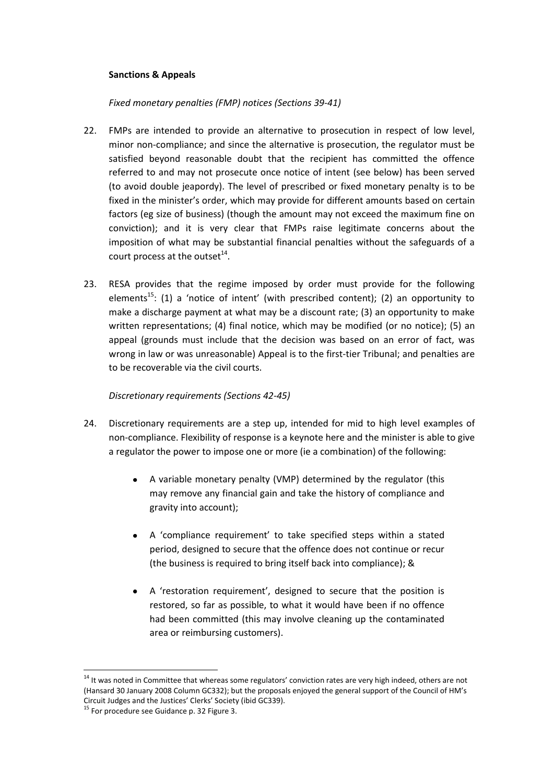#### **Sanctions & Appeals**

## *Fixed monetary penalties (FMP) notices (Sections 39-41)*

- 22. FMPs are intended to provide an alternative to prosecution in respect of low level, minor non-compliance; and since the alternative is prosecution, the regulator must be satisfied beyond reasonable doubt that the recipient has committed the offence referred to and may not prosecute once notice of intent (see below) has been served (to avoid double jeapordy). The level of prescribed or fixed monetary penalty is to be fixed in the minister's order, which may provide for different amounts based on certain factors (eg size of business) (though the amount may not exceed the maximum fine on conviction); and it is very clear that FMPs raise legitimate concerns about the imposition of what may be substantial financial penalties without the safeguards of a court process at the outset $^{14}$ .
- 23. RESA provides that the regime imposed by order must provide for the following elements<sup>15</sup>: (1) a 'notice of intent' (with prescribed content); (2) an opportunity to make a discharge payment at what may be a discount rate; (3) an opportunity to make written representations; (4) final notice, which may be modified (or no notice); (5) an appeal (grounds must include that the decision was based on an error of fact, was wrong in law or was unreasonable) Appeal is to the first-tier Tribunal; and penalties are to be recoverable via the civil courts.

# *Discretionary requirements (Sections 42-45)*

- 24. Discretionary requirements are a step up, intended for mid to high level examples of non-compliance. Flexibility of response is a keynote here and the minister is able to give a regulator the power to impose one or more (ie a combination) of the following:
	- A variable monetary penalty (VMP) determined by the regulator (this may remove any financial gain and take the history of compliance and gravity into account);
	- A 'compliance requirement' to take specified steps within a stated period, designed to secure that the offence does not continue or recur (the business is required to bring itself back into compliance); &
	- A 'restoration requirement', designed to secure that the position is restored, so far as possible, to what it would have been if no offence had been committed (this may involve cleaning up the contaminated area or reimbursing customers).

<u>.</u>

<sup>&</sup>lt;sup>14</sup> It was noted in Committee that whereas some regulators' conviction rates are very high indeed, others are not (Hansard 30 January 2008 Column GC332); but the proposals enjoyed the general support of the Council of HM's Circuit Judges and the Justices' Clerks' Society (ibid GC339).

<sup>&</sup>lt;sup>15</sup> For procedure see Guidance p. 32 Figure 3.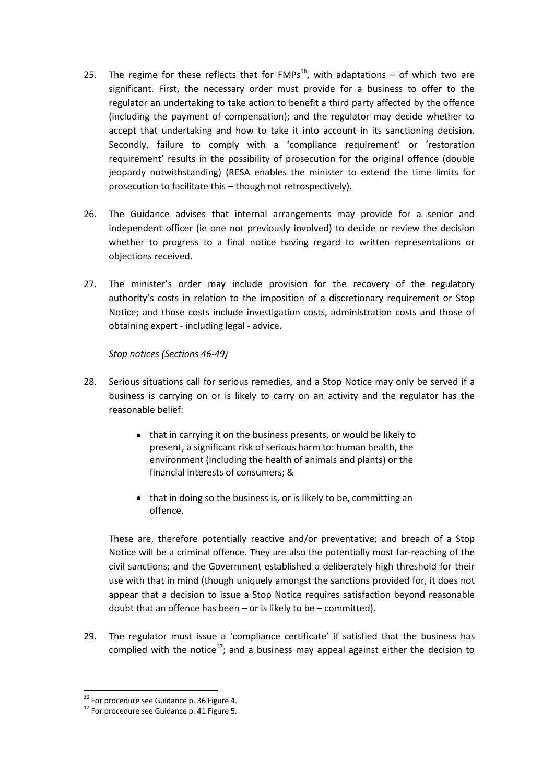- 25. The regime for these reflects that for  $FMPs^{16}$ , with adaptations of which two are significant. First, the necessary order must provide for a business to offer to the regulator an undertaking to take action to benefit a third party affected by the offence (including the payment of compensation); and the regulator may decide whether to accept that undertaking and how to take it into account in its sanctioning decision. Secondly, failure to comply with a 'compliance requirement' or 'restoration requirement' results in the possibility of prosecution for the original offence (double jeopardy notwithstanding) (RESA enables the minister to extend the time limits for prosecution to facilitate this – though not retrospectively).
- 26. The Guidance advises that internal arrangements may provide for a senior and independent officer (ie one not previously involved) to decide or review the decision whether to progress to a final notice having regard to written representations or objections received.
- 27. The minister's order may include provision for the recovery of the regulatory authority's costs in relation to the imposition of a discretionary requirement or Stop Notice; and those costs include investigation costs, administration costs and those of obtaining expert - including legal - advice.

*Stop notices (Sections 46-49)*

- 28. Serious situations call for serious remedies, and a Stop Notice may only be served if a business is carrying on or is likely to carry on an activity and the regulator has the reasonable belief:
	- that in carrying it on the business presents, or would be likely to present, a significant risk of serious harm to: human health, the environment (including the health of animals and plants) or the financial interests of consumers; &
	- that in doing so the business is, or is likely to be, committing an offence.

These are, therefore potentially reactive and/or preventative; and breach of a Stop Notice will be a criminal offence. They are also the potentially most far-reaching of the civil sanctions; and the Government established a deliberately high threshold for their use with that in mind (though uniquely amongst the sanctions provided for, it does not appear that a decision to issue a Stop Notice requires satisfaction beyond reasonable doubt that an offence has been – or is likely to be – committed).

29. The regulator must issue a 'compliance certificate' if satisfied that the business has complied with the notice<sup>17</sup>; and a business may appeal against either the decision to

<sup>&</sup>lt;sup>16</sup> For procedure see Guidance p. 36 Figure 4.

 $17$  For procedure see Guidance p. 41 Figure 5.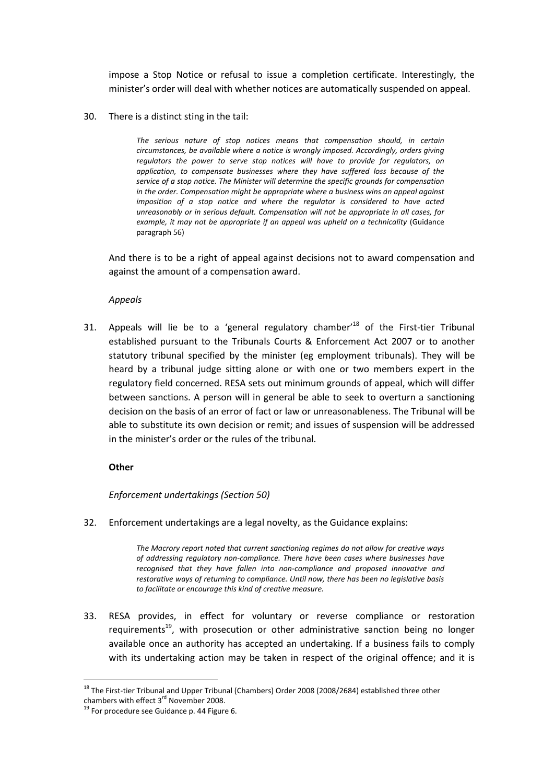impose a Stop Notice or refusal to issue a completion certificate. Interestingly, the minister's order will deal with whether notices are automatically suspended on appeal.

30. There is a distinct sting in the tail:

*The serious nature of stop notices means that compensation should, in certain circumstances, be available where a notice is wrongly imposed. Accordingly, orders giving regulators the power to serve stop notices will have to provide for regulators, on application, to compensate businesses where they have suffered loss because of the service of a stop notice. The Minister will determine the specific grounds for compensation in the order. Compensation might be appropriate where a business wins an appeal against imposition of a stop notice and where the regulator is considered to have acted unreasonably or in serious default. Compensation will not be appropriate in all cases, for example, it may not be appropriate if an appeal was upheld on a technicality* (Guidance paragraph 56)

And there is to be a right of appeal against decisions not to award compensation and against the amount of a compensation award.

*Appeals*

31. Appeals will lie be to a 'general regulatory chamber<sup>18</sup> of the First-tier Tribunal established pursuant to the Tribunals Courts & Enforcement Act 2007 or to another statutory tribunal specified by the minister (eg employment tribunals). They will be heard by a tribunal judge sitting alone or with one or two members expert in the regulatory field concerned. RESA sets out minimum grounds of appeal, which will differ between sanctions. A person will in general be able to seek to overturn a sanctioning decision on the basis of an error of fact or law or unreasonableness. The Tribunal will be able to substitute its own decision or remit; and issues of suspension will be addressed in the minister's order or the rules of the tribunal.

#### **Other**

#### *Enforcement undertakings (Section 50)*

32. Enforcement undertakings are a legal novelty, as the Guidance explains:

*The Macrory report noted that current sanctioning regimes do not allow for creative ways of addressing regulatory non-compliance. There have been cases where businesses have recognised that they have fallen into non-compliance and proposed innovative and restorative ways of returning to compliance. Until now, there has been no legislative basis to facilitate or encourage this kind of creative measure.*

33. RESA provides, in effect for voluntary or reverse compliance or restoration requirements<sup>19</sup>, with prosecution or other administrative sanction being no longer available once an authority has accepted an undertaking. If a business fails to comply with its undertaking action may be taken in respect of the original offence; and it is

<sup>1</sup> <sup>18</sup> The First-tier Tribunal and Upper Tribunal (Chambers) Order 2008 (2008/2684) established three other chambers with effect 3<sup>rd</sup> November 2008.

 $19$  For procedure see Guidance p. 44 Figure 6.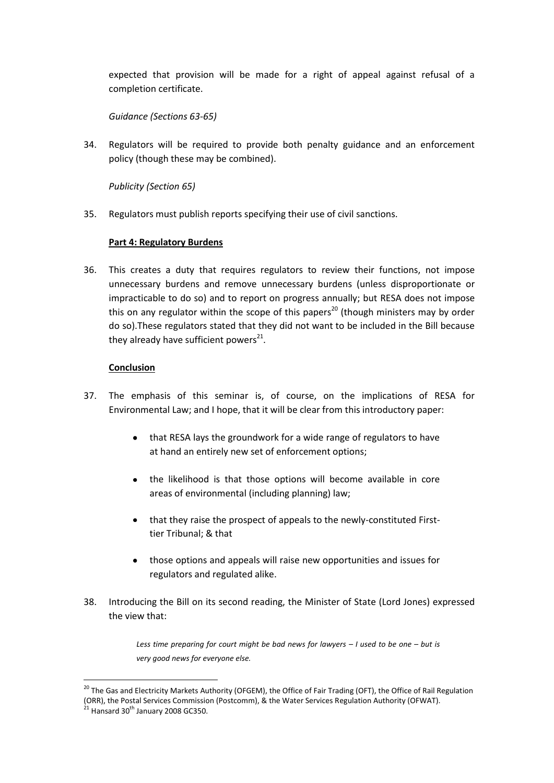expected that provision will be made for a right of appeal against refusal of a completion certificate.

*Guidance (Sections 63-65)*

34. Regulators will be required to provide both penalty guidance and an enforcement policy (though these may be combined).

*Publicity (Section 65)*

35. Regulators must publish reports specifying their use of civil sanctions.

## **Part 4: Regulatory Burdens**

36. This creates a duty that requires regulators to review their functions, not impose unnecessary burdens and remove unnecessary burdens (unless disproportionate or impracticable to do so) and to report on progress annually; but RESA does not impose this on any regulator within the scope of this papers<sup>20</sup> (though ministers may by order do so).These regulators stated that they did not want to be included in the Bill because they already have sufficient powers $^{21}$ .

## **Conclusion**

- 37. The emphasis of this seminar is, of course, on the implications of RESA for Environmental Law; and I hope, that it will be clear from this introductory paper:
	- that RESA lays the groundwork for a wide range of regulators to have at hand an entirely new set of enforcement options;
	- the likelihood is that those options will become available in core areas of environmental (including planning) law;
	- that they raise the prospect of appeals to the newly-constituted Firsttier Tribunal; & that
	- those options and appeals will raise new opportunities and issues for regulators and regulated alike.
- 38. Introducing the Bill on its second reading, the Minister of State (Lord Jones) expressed the view that:

*Less time preparing for court might be bad news for lawyers – I used to be one – but is very good news for everyone else.*

<sup>&</sup>lt;sup>20</sup> The Gas and Electricity Markets Authority (OFGEM), the Office of Fair Trading (OFT), the Office of Rail Regulation (ORR), the Postal Services Commission (Postcomm), & the Water Services Regulation Authority (OFWAT).

 $21$  Hansard 30<sup>th</sup> January 2008 GC350.